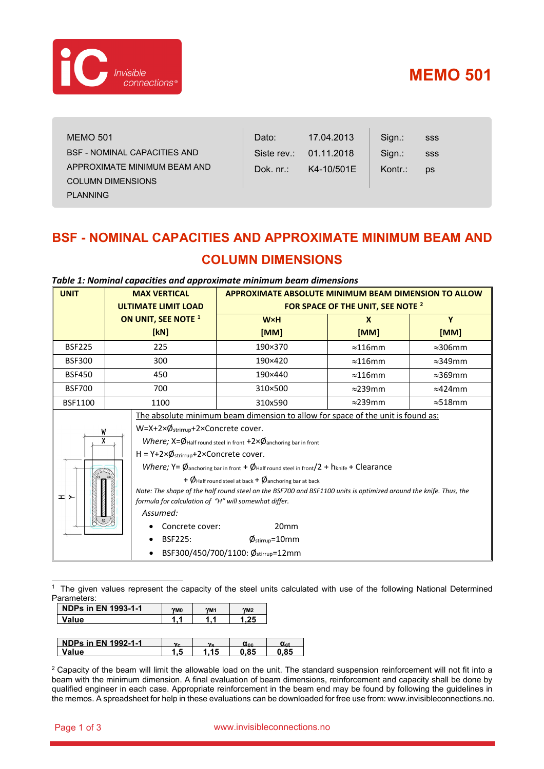

# **MEMO 501**

| <b>MEMO 501</b>                     | Dato:        | 17.04.2013             | Sign.:  | SSS |
|-------------------------------------|--------------|------------------------|---------|-----|
| <b>BSF - NOMINAL CAPACITIES AND</b> |              | Siste rev.: 01.11.2018 | Sign.:  | SSS |
| APPROXIMATE MINIMUM BEAM AND        | Dok. $nr$ .: | K4-10/501E             | Kontr.: | ps  |
| <b>COLUMN DIMENSIONS</b>            |              |                        |         |     |
| <b>PLANNING</b>                     |              |                        |         |     |

## **BSF - NOMINAL CAPACITIES AND APPROXIMATE MINIMUM BEAM AND COLUMN DIMENSIONS**

| <b>UNIT</b>             | <b>MAX VERTICAL</b>                                                                                              | <b>APPROXIMATE ABSOLUTE MINIMUM BEAM DIMENSION TO ALLOW</b> |                 |                 |  |
|-------------------------|------------------------------------------------------------------------------------------------------------------|-------------------------------------------------------------|-----------------|-----------------|--|
|                         | <b>ULTIMATE LIMIT LOAD</b>                                                                                       | FOR SPACE OF THE UNIT, SEE NOTE <sup>2</sup>                |                 |                 |  |
|                         | ON UNIT, SEE NOTE <sup>1</sup>                                                                                   | <b>WxH</b>                                                  | $\mathbf{x}$    | Y               |  |
|                         | [kN]                                                                                                             | [MM]                                                        | [MM]            | [MM]            |  |
| <b>BSF225</b>           | 225                                                                                                              | 190×370                                                     | $\approx$ 116mm | $\approx$ 306mm |  |
| <b>BSF300</b>           | 300                                                                                                              | 190×420                                                     | $\approx$ 116mm | $\approx$ 349mm |  |
| <b>BSF450</b>           | 450                                                                                                              | 190×440                                                     | $\approx$ 116mm | $\approx$ 369mm |  |
| <b>BSF700</b>           | 700                                                                                                              | 310×500                                                     | $\approx$ 239mm | $\approx$ 424mm |  |
| <b>BSF1100</b>          | 1100                                                                                                             | 310x590                                                     | $\approx$ 239mm | $\approx$ 518mm |  |
|                         | The absolute minimum beam dimension to allow for space of the unit is found as:                                  |                                                             |                 |                 |  |
| W                       | $W = X + 2 \times \emptyset$ strirrup+2×Concrete cover.                                                          |                                                             |                 |                 |  |
| $\overline{\mathsf{x}}$ | Where; $X = \emptyset$ Half round steel in front $+2 \times \emptyset$ anchoring bar in front                    |                                                             |                 |                 |  |
|                         | $H = Y + 2 \times \emptyset$ <sub>strirrup</sub> +2×Concrete cover.                                              |                                                             |                 |                 |  |
|                         | Where; $Y = \emptyset$ anchoring bar in front + $\emptyset$ Half round steel in front/2 + hknife + Clearance     |                                                             |                 |                 |  |
|                         | + $\emptyset$ Half round steel at back + $\emptyset$ anchoring bar at back                                       |                                                             |                 |                 |  |
| ᆂᆝᆇ                     | Note: The shape of the half round steel on the BSF700 and BSF1100 units is optimized around the knife. Thus, the |                                                             |                 |                 |  |
|                         | formula for calculation of "H" will somewhat differ.                                                             |                                                             |                 |                 |  |
|                         | Assumed:                                                                                                         |                                                             |                 |                 |  |
|                         | Concrete cover:                                                                                                  | 20 <sub>mm</sub>                                            |                 |                 |  |
|                         | <b>BSF225:</b><br>$\phi_{\text{stirrup}} = 10 \text{mm}$                                                         |                                                             |                 |                 |  |
|                         |                                                                                                                  | BSF300/450/700/1100: Østirrup=12mm                          |                 |                 |  |

#### *Table 1: Nominal capacities and approximate minimum beam dimensions*

<span id="page-0-0"></span><sup>1</sup> The given values represent the capacity of the steel units calculated with use of the following National Determined Parameters:

| <b>NDPs in EN 1993-1-1</b> | YM0 | YM <sub>1</sub> | YM2               |                        |
|----------------------------|-----|-----------------|-------------------|------------------------|
| Value                      |     |                 | 1.25              |                        |
|                            |     |                 |                   |                        |
| <b>NDPs in EN 1992-1-1</b> | ٧c  | $v_{\rm c}$     | $\alpha_{\rm cc}$ | $\alpha$ <sub>ct</sub> |
| Value                      | 1.5 | 1.15            | 0,85              | 0.85                   |

<span id="page-0-1"></span><sup>2</sup> Capacity of the beam will limit the allowable load on the unit. The standard suspension reinforcement will not fit into a beam with the minimum dimension. A final evaluation of beam dimensions, reinforcement and capacity shall be done by qualified engineer in each case. Appropriate reinforcement in the beam end may be found by following the guidelines in the memos. A spreadsheet for help in these evaluations can be downloaded for free use from: www.invisibleconnections.no.

#### Page 1 of 3 www.invisibleconnections.no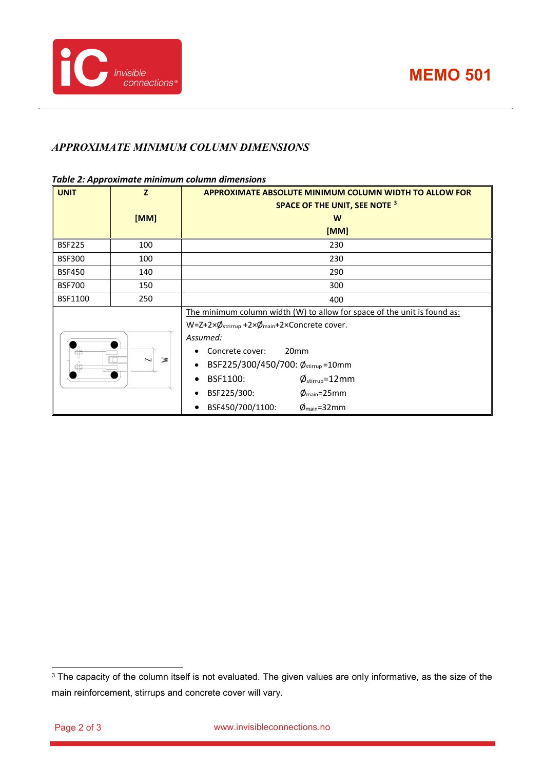

### *APPROXIMATE MINIMUM COLUMN DIMENSIONS*

#### *Table 2: Approximate minimum column dimensions*

| <b>UNIT</b>   | Z                                  | <b>APPROXIMATE ABSOLUTE MINIMUM COLUMN WIDTH TO ALLOW FOR</b>            |  |
|---------------|------------------------------------|--------------------------------------------------------------------------|--|
|               |                                    | <b>SPACE OF THE UNIT, SEE NOTE 3</b>                                     |  |
|               | [MM]                               | W                                                                        |  |
|               |                                    | [MM]                                                                     |  |
| <b>BSF225</b> | 100                                | 230                                                                      |  |
| <b>BSF300</b> | 100                                | 230                                                                      |  |
| <b>BSF450</b> | 140                                | 290                                                                      |  |
| <b>BSF700</b> | 150                                | 300                                                                      |  |
| BSF1100       | 250                                | 400                                                                      |  |
|               |                                    | The minimum column width (W) to allow for space of the unit is found as: |  |
|               |                                    | W=Z+2ר <sub>strirrup</sub> +2ר <sub>main</sub> +2×Concrete cover.        |  |
|               |                                    | Assumed:                                                                 |  |
|               |                                    | 20 <sub>mm</sub><br>Concrete cover:                                      |  |
|               | $\overline{\phantom{0}}$<br>$\geq$ | BSF225/300/450/700: Østirrup=10mm<br>$\bullet$                           |  |
|               |                                    | BSF1100:<br>$\phi_{\text{stirrup}}$ =12mm<br>$\bullet$                   |  |
|               |                                    | BSF225/300:<br>$\phi_{\text{main}}$ =25mm<br>$\bullet$                   |  |
|               |                                    | BSF450/700/1100:<br>$\phi_{\text{main}}$ =32mm                           |  |

<span id="page-1-0"></span><sup>&</sup>lt;sup>3</sup> The capacity of the column itself is not evaluated. The given values are only informative, as the size of the main reinforcement, stirrups and concrete cover will vary.